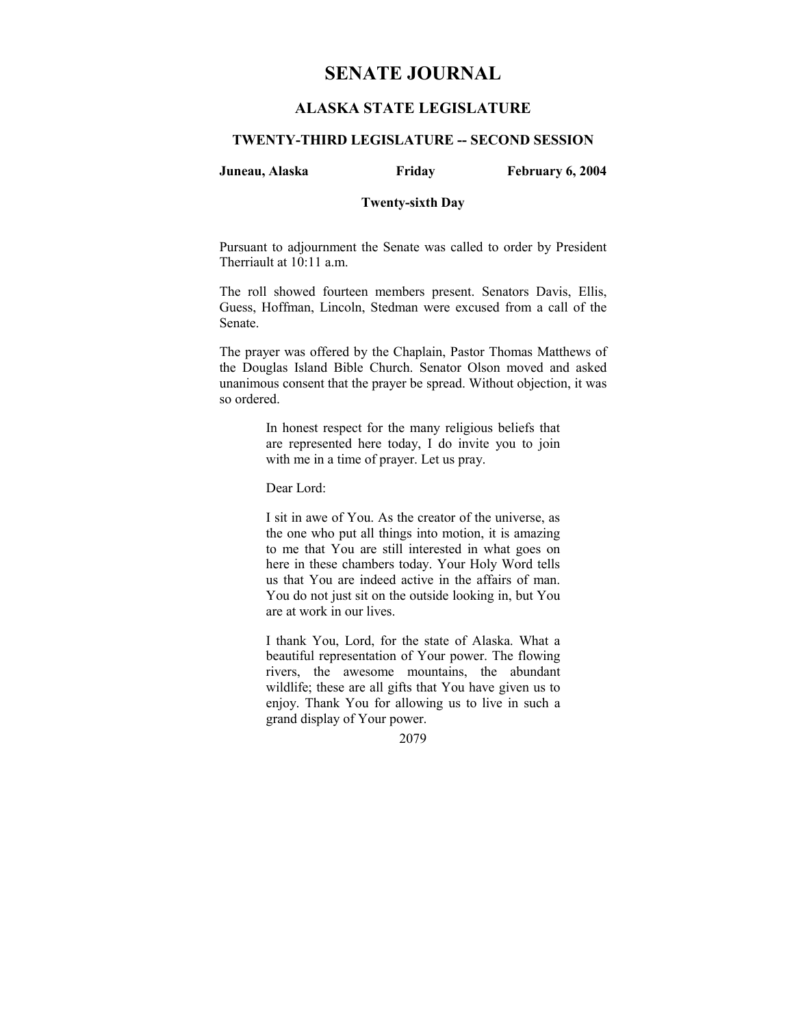# **SENATE JOURNAL**

# **ALASKA STATE LEGISLATURE**

### **TWENTY-THIRD LEGISLATURE -- SECOND SESSION**

### **Juneau, Alaska Friday February 6, 2004**

#### **Twenty-sixth Day**

Pursuant to adjournment the Senate was called to order by President Therriault at 10:11 a.m.

The roll showed fourteen members present. Senators Davis, Ellis, Guess, Hoffman, Lincoln, Stedman were excused from a call of the Senate.

The prayer was offered by the Chaplain, Pastor Thomas Matthews of the Douglas Island Bible Church. Senator Olson moved and asked unanimous consent that the prayer be spread. Without objection, it was so ordered.

> In honest respect for the many religious beliefs that are represented here today, I do invite you to join with me in a time of prayer. Let us pray.

Dear Lord:

I sit in awe of You. As the creator of the universe, as the one who put all things into motion, it is amazing to me that You are still interested in what goes on here in these chambers today. Your Holy Word tells us that You are indeed active in the affairs of man. You do not just sit on the outside looking in, but You are at work in our lives.

I thank You, Lord, for the state of Alaska. What a beautiful representation of Your power. The flowing rivers, the awesome mountains, the abundant wildlife; these are all gifts that You have given us to enjoy. Thank You for allowing us to live in such a grand display of Your power.

2079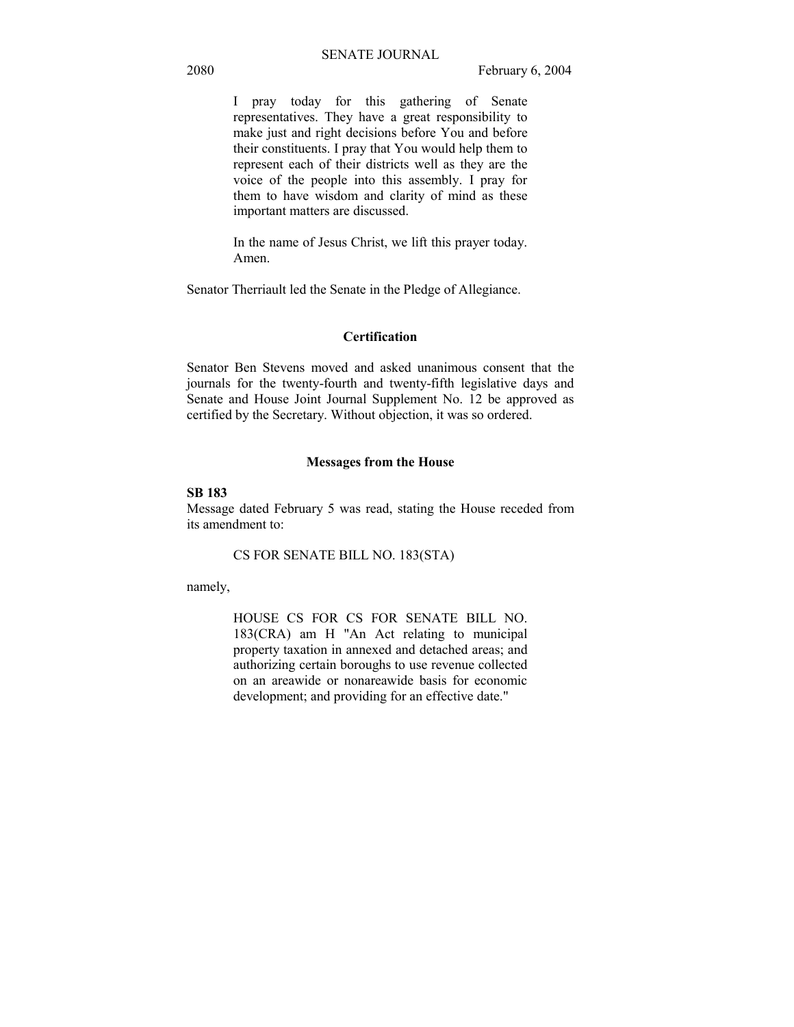I pray today for this gathering of Senate representatives. They have a great responsibility to make just and right decisions before You and before their constituents. I pray that You would help them to represent each of their districts well as they are the voice of the people into this assembly. I pray for them to have wisdom and clarity of mind as these important matters are discussed.

In the name of Jesus Christ, we lift this prayer today. Amen.

Senator Therriault led the Senate in the Pledge of Allegiance.

### **Certification**

Senator Ben Stevens moved and asked unanimous consent that the journals for the twenty-fourth and twenty-fifth legislative days and Senate and House Joint Journal Supplement No. 12 be approved as certified by the Secretary. Without objection, it was so ordered.

#### **Messages from the House**

### **SB 183**

Message dated February 5 was read, stating the House receded from its amendment to:

#### CS FOR SENATE BILL NO. 183(STA)

namely,

HOUSE CS FOR CS FOR SENATE BILL NO. 183(CRA) am H "An Act relating to municipal property taxation in annexed and detached areas; and authorizing certain boroughs to use revenue collected on an areawide or nonareawide basis for economic development; and providing for an effective date."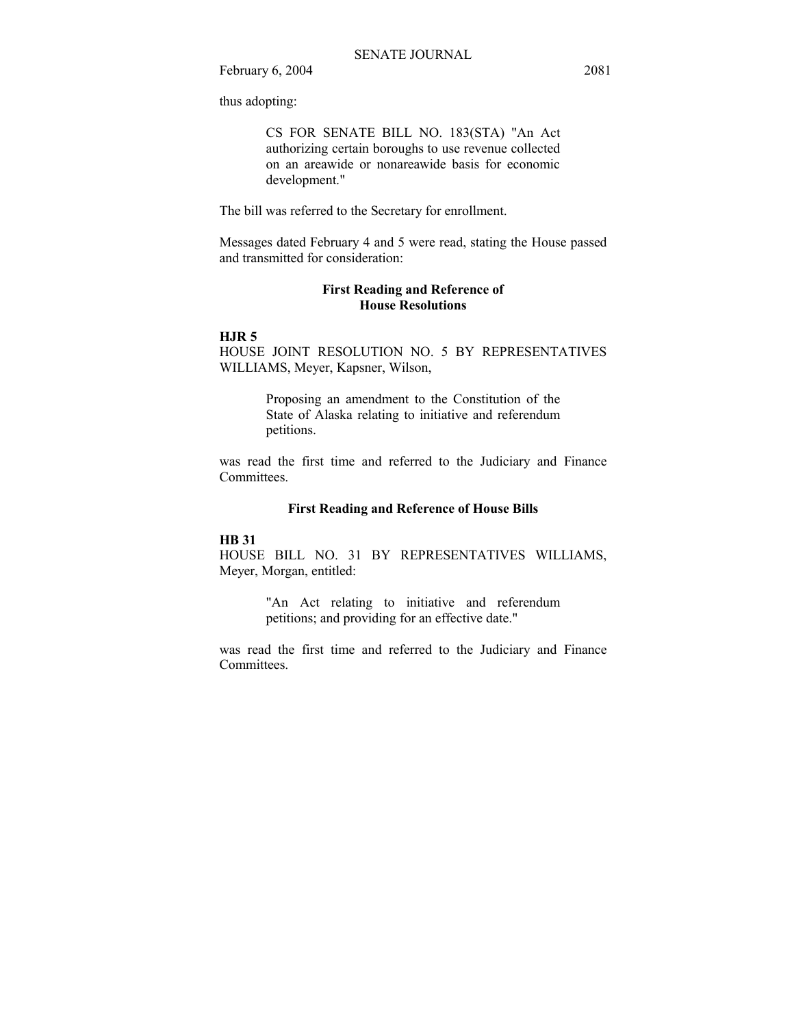thus adopting:

CS FOR SENATE BILL NO. 183(STA) "An Act authorizing certain boroughs to use revenue collected on an areawide or nonareawide basis for economic development."

The bill was referred to the Secretary for enrollment.

Messages dated February 4 and 5 were read, stating the House passed and transmitted for consideration:

### **First Reading and Reference of House Resolutions**

### **HJR 5**

HOUSE JOINT RESOLUTION NO. 5 BY REPRESENTATIVES WILLIAMS, Meyer, Kapsner, Wilson,

> Proposing an amendment to the Constitution of the State of Alaska relating to initiative and referendum petitions.

was read the first time and referred to the Judiciary and Finance Committees.

## **First Reading and Reference of House Bills**

### **HB 31**

HOUSE BILL NO. 31 BY REPRESENTATIVES WILLIAMS, Meyer, Morgan, entitled:

> "An Act relating to initiative and referendum petitions; and providing for an effective date."

was read the first time and referred to the Judiciary and Finance Committees.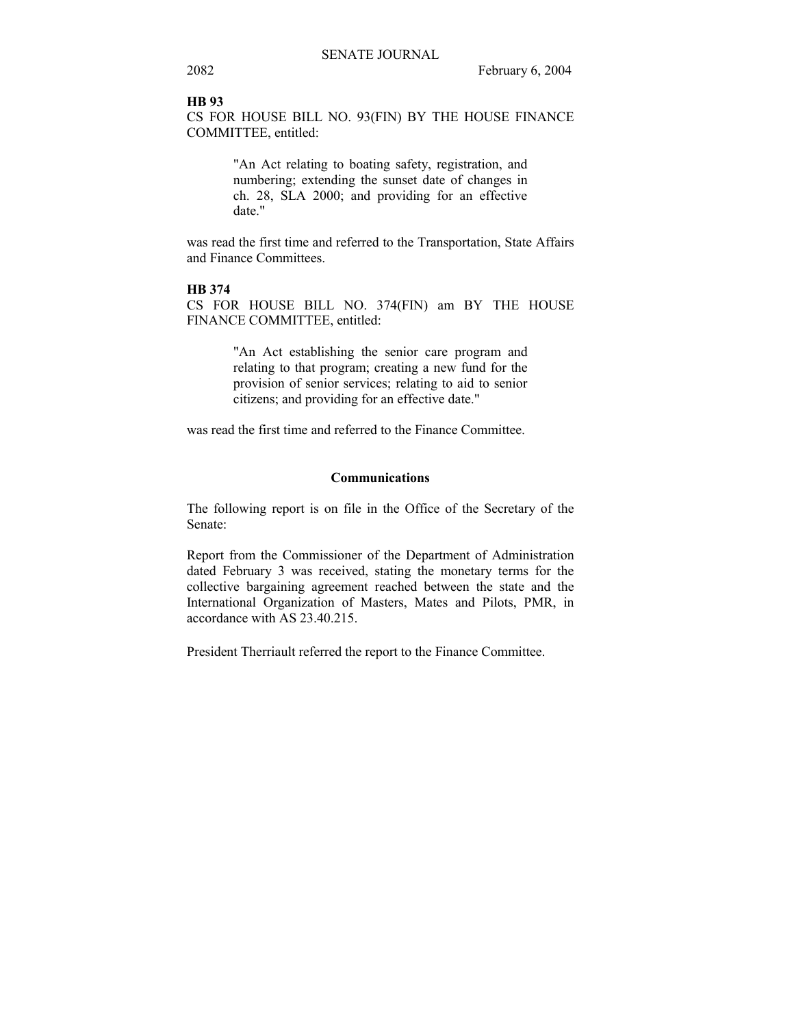#### **HB 93**

CS FOR HOUSE BILL NO. 93(FIN) BY THE HOUSE FINANCE COMMITTEE, entitled:

> "An Act relating to boating safety, registration, and numbering; extending the sunset date of changes in ch. 28, SLA 2000; and providing for an effective date."

was read the first time and referred to the Transportation, State Affairs and Finance Committees.

### **HB 374**

CS FOR HOUSE BILL NO. 374(FIN) am BY THE HOUSE FINANCE COMMITTEE, entitled:

> "An Act establishing the senior care program and relating to that program; creating a new fund for the provision of senior services; relating to aid to senior citizens; and providing for an effective date."

was read the first time and referred to the Finance Committee.

## **Communications**

The following report is on file in the Office of the Secretary of the Senate:

Report from the Commissioner of the Department of Administration dated February 3 was received, stating the monetary terms for the collective bargaining agreement reached between the state and the International Organization of Masters, Mates and Pilots, PMR, in accordance with AS 23.40.215.

President Therriault referred the report to the Finance Committee.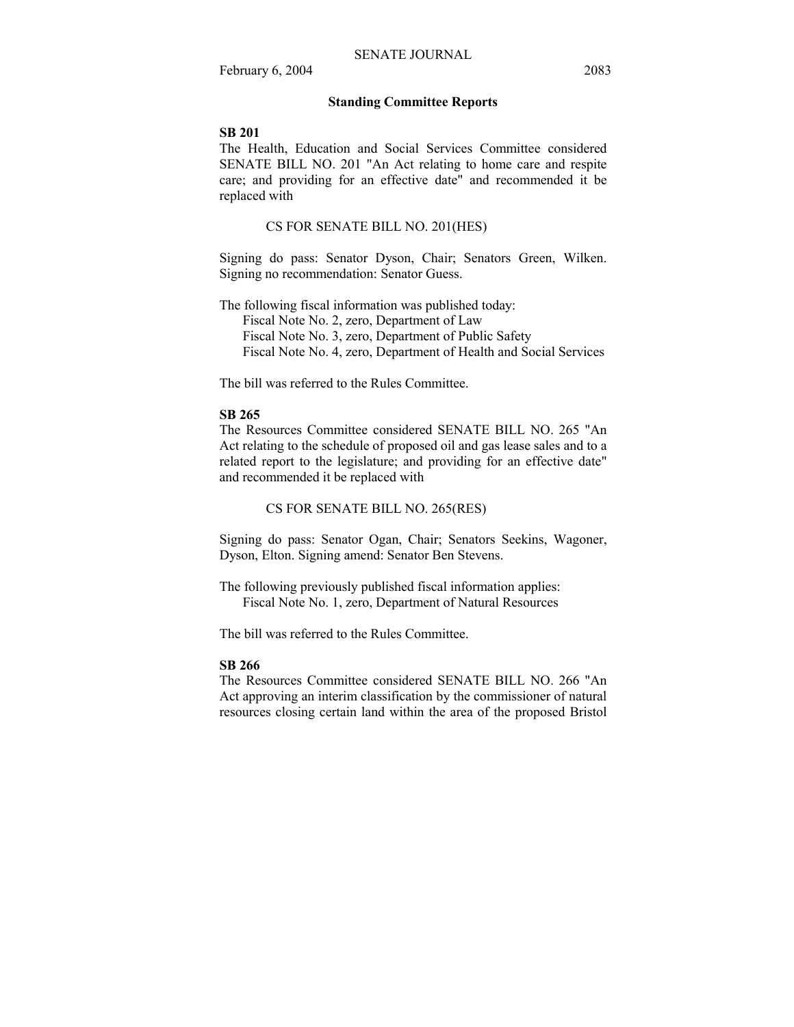### **Standing Committee Reports**

#### **SB 201**

The Health, Education and Social Services Committee considered SENATE BILL NO. 201 "An Act relating to home care and respite care; and providing for an effective date" and recommended it be replaced with

#### CS FOR SENATE BILL NO. 201(HES)

Signing do pass: Senator Dyson, Chair; Senators Green, Wilken. Signing no recommendation: Senator Guess.

The following fiscal information was published today:

Fiscal Note No. 2, zero, Department of Law

Fiscal Note No. 3, zero, Department of Public Safety

Fiscal Note No. 4, zero, Department of Health and Social Services

The bill was referred to the Rules Committee.

#### **SB 265**

The Resources Committee considered SENATE BILL NO. 265 "An Act relating to the schedule of proposed oil and gas lease sales and to a related report to the legislature; and providing for an effective date" and recommended it be replaced with

#### CS FOR SENATE BILL NO. 265(RES)

Signing do pass: Senator Ogan, Chair; Senators Seekins, Wagoner, Dyson, Elton. Signing amend: Senator Ben Stevens.

The following previously published fiscal information applies: Fiscal Note No. 1, zero, Department of Natural Resources

The bill was referred to the Rules Committee.

### **SB 266**

The Resources Committee considered SENATE BILL NO. 266 "An Act approving an interim classification by the commissioner of natural resources closing certain land within the area of the proposed Bristol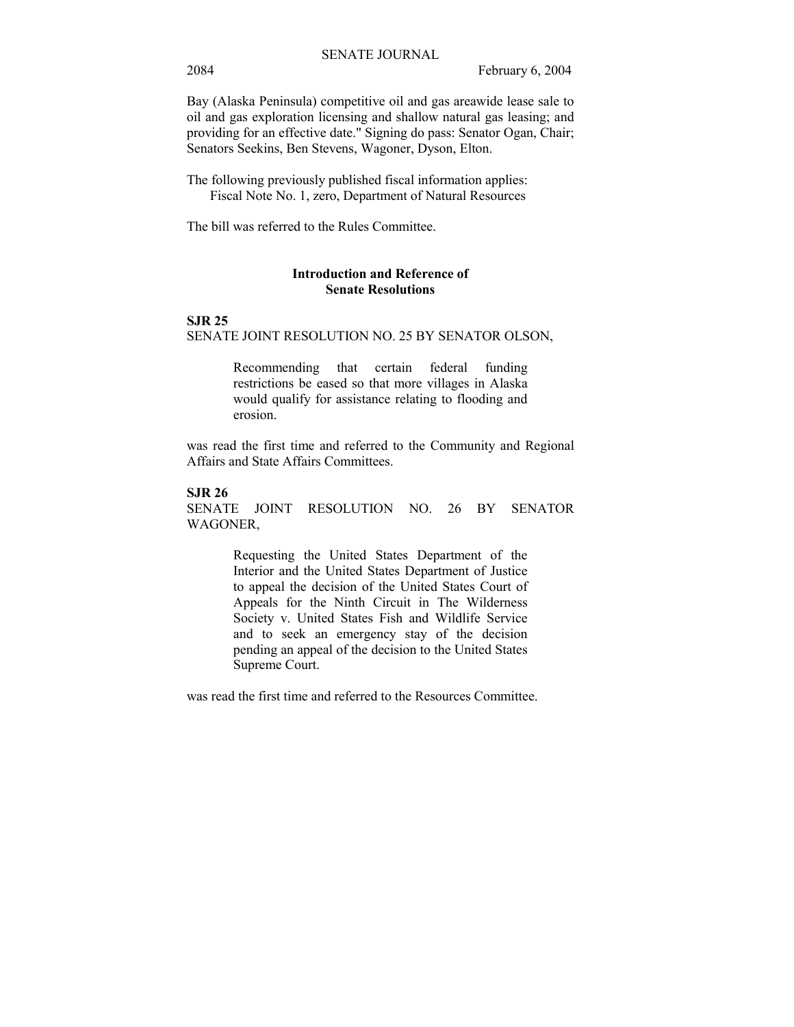Bay (Alaska Peninsula) competitive oil and gas areawide lease sale to oil and gas exploration licensing and shallow natural gas leasing; and providing for an effective date." Signing do pass: Senator Ogan, Chair; Senators Seekins, Ben Stevens, Wagoner, Dyson, Elton.

The following previously published fiscal information applies: Fiscal Note No. 1, zero, Department of Natural Resources

The bill was referred to the Rules Committee.

### **Introduction and Reference of Senate Resolutions**

#### **SJR 25**

SENATE JOINT RESOLUTION NO. 25 BY SENATOR OLSON,

Recommending that certain federal funding restrictions be eased so that more villages in Alaska would qualify for assistance relating to flooding and erosion.

was read the first time and referred to the Community and Regional Affairs and State Affairs Committees.

#### **SJR 26**

SENATE JOINT RESOLUTION NO. 26 BY SENATOR WAGONER,

> Requesting the United States Department of the Interior and the United States Department of Justice to appeal the decision of the United States Court of Appeals for the Ninth Circuit in The Wilderness Society v. United States Fish and Wildlife Service and to seek an emergency stay of the decision pending an appeal of the decision to the United States Supreme Court.

was read the first time and referred to the Resources Committee.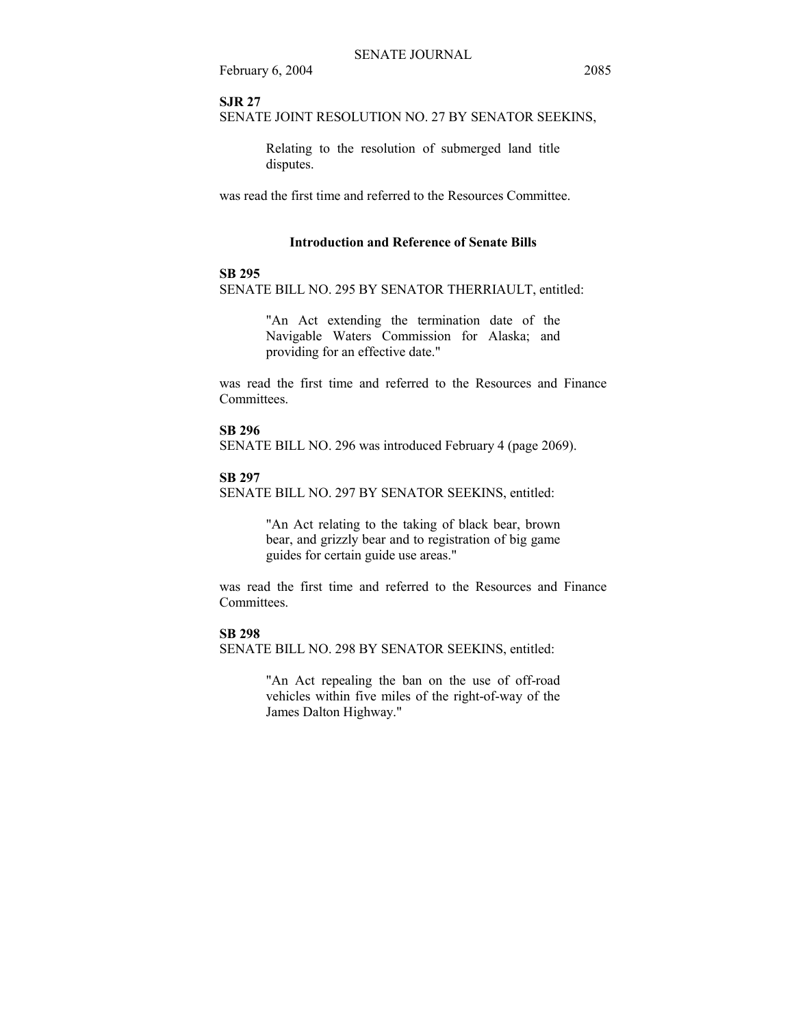### **SJR 27**

SENATE JOINT RESOLUTION NO. 27 BY SENATOR SEEKINS,

Relating to the resolution of submerged land title disputes.

was read the first time and referred to the Resources Committee.

### **Introduction and Reference of Senate Bills**

#### **SB 295**

SENATE BILL NO. 295 BY SENATOR THERRIAULT, entitled:

"An Act extending the termination date of the Navigable Waters Commission for Alaska; and providing for an effective date."

was read the first time and referred to the Resources and Finance Committees.

## **SB 296**

SENATE BILL NO. 296 was introduced February 4 (page 2069).

### **SB 297**

SENATE BILL NO. 297 BY SENATOR SEEKINS, entitled:

"An Act relating to the taking of black bear, brown bear, and grizzly bear and to registration of big game guides for certain guide use areas."

was read the first time and referred to the Resources and Finance Committees.

### **SB 298**

SENATE BILL NO. 298 BY SENATOR SEEKINS, entitled:

"An Act repealing the ban on the use of off-road vehicles within five miles of the right-of-way of the James Dalton Highway."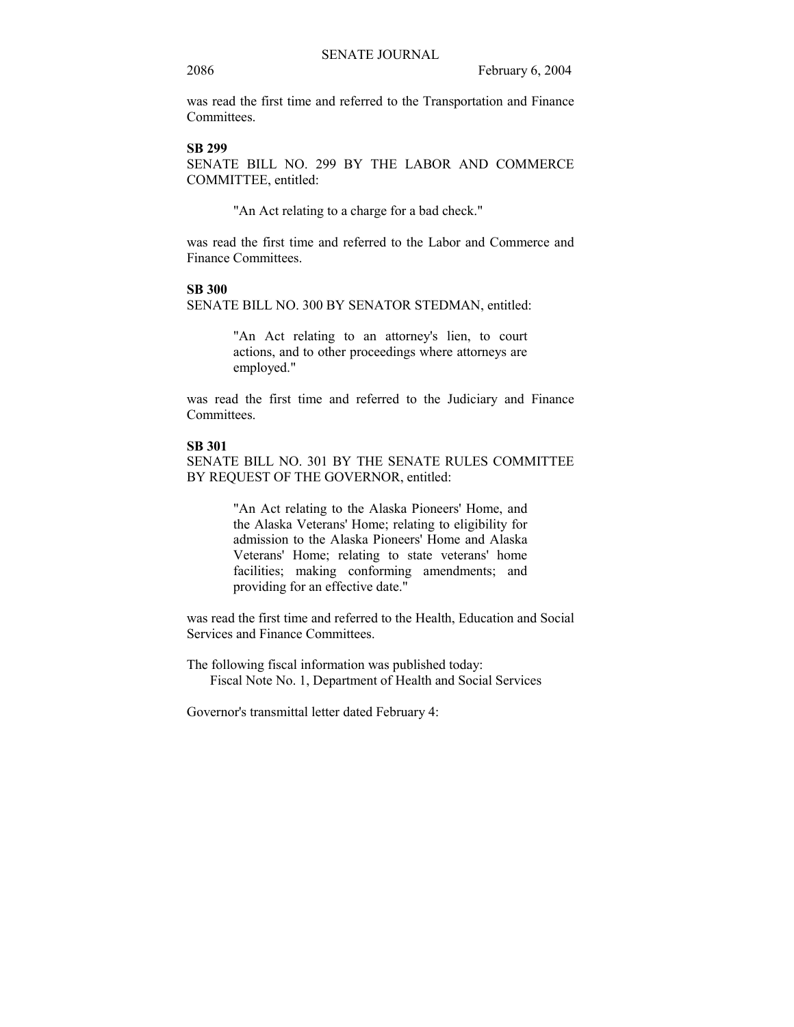was read the first time and referred to the Transportation and Finance **Committees** 

### **SB 299**

SENATE BILL NO. 299 BY THE LABOR AND COMMERCE COMMITTEE, entitled:

"An Act relating to a charge for a bad check."

was read the first time and referred to the Labor and Commerce and Finance Committees.

# **SB 300**

SENATE BILL NO. 300 BY SENATOR STEDMAN, entitled:

"An Act relating to an attorney's lien, to court actions, and to other proceedings where attorneys are employed."

was read the first time and referred to the Judiciary and Finance Committees.

#### **SB 301**

SENATE BILL NO. 301 BY THE SENATE RULES COMMITTEE BY REQUEST OF THE GOVERNOR, entitled:

> "An Act relating to the Alaska Pioneers' Home, and the Alaska Veterans' Home; relating to eligibility for admission to the Alaska Pioneers' Home and Alaska Veterans' Home; relating to state veterans' home facilities; making conforming amendments; and providing for an effective date."

was read the first time and referred to the Health, Education and Social Services and Finance Committees.

The following fiscal information was published today: Fiscal Note No. 1, Department of Health and Social Services

Governor's transmittal letter dated February 4: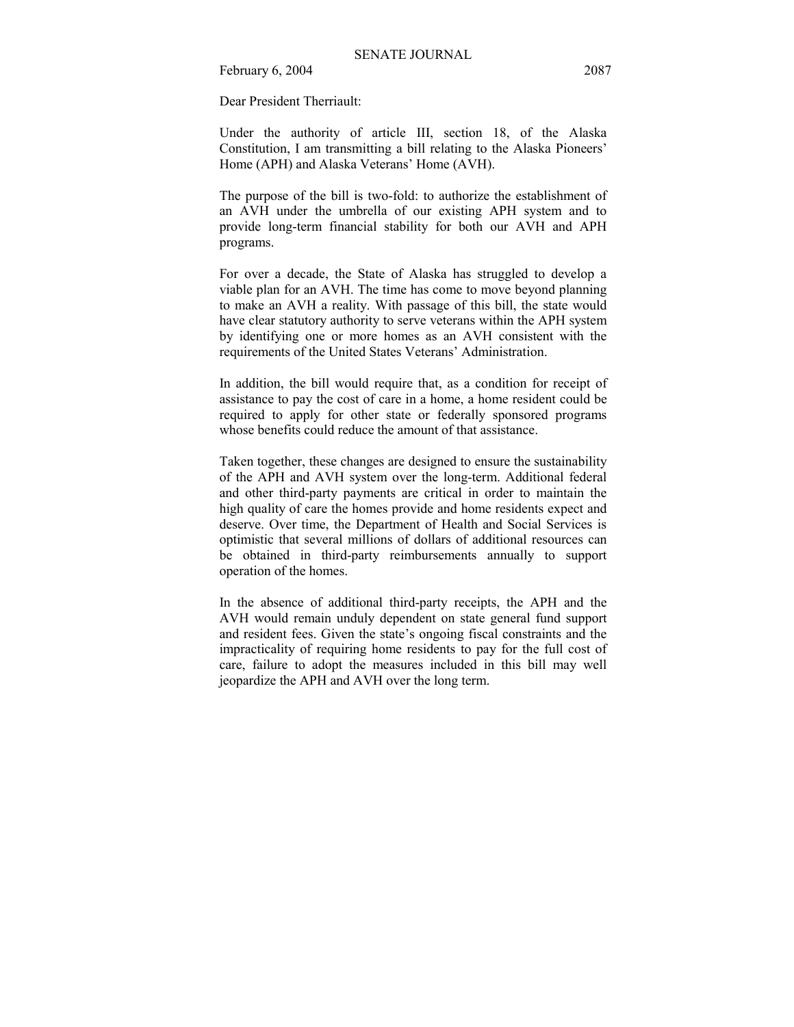Dear President Therriault:

Under the authority of article III, section 18, of the Alaska Constitution, I am transmitting a bill relating to the Alaska Pioneers' Home (APH) and Alaska Veterans' Home (AVH).

The purpose of the bill is two-fold: to authorize the establishment of an AVH under the umbrella of our existing APH system and to provide long-term financial stability for both our AVH and APH programs.

For over a decade, the State of Alaska has struggled to develop a viable plan for an AVH. The time has come to move beyond planning to make an AVH a reality. With passage of this bill, the state would have clear statutory authority to serve veterans within the APH system by identifying one or more homes as an AVH consistent with the requirements of the United States Veterans' Administration.

In addition, the bill would require that, as a condition for receipt of assistance to pay the cost of care in a home, a home resident could be required to apply for other state or federally sponsored programs whose benefits could reduce the amount of that assistance.

Taken together, these changes are designed to ensure the sustainability of the APH and AVH system over the long-term. Additional federal and other third-party payments are critical in order to maintain the high quality of care the homes provide and home residents expect and deserve. Over time, the Department of Health and Social Services is optimistic that several millions of dollars of additional resources can be obtained in third-party reimbursements annually to support operation of the homes.

In the absence of additional third-party receipts, the APH and the AVH would remain unduly dependent on state general fund support and resident fees. Given the state's ongoing fiscal constraints and the impracticality of requiring home residents to pay for the full cost of care, failure to adopt the measures included in this bill may well jeopardize the APH and AVH over the long term.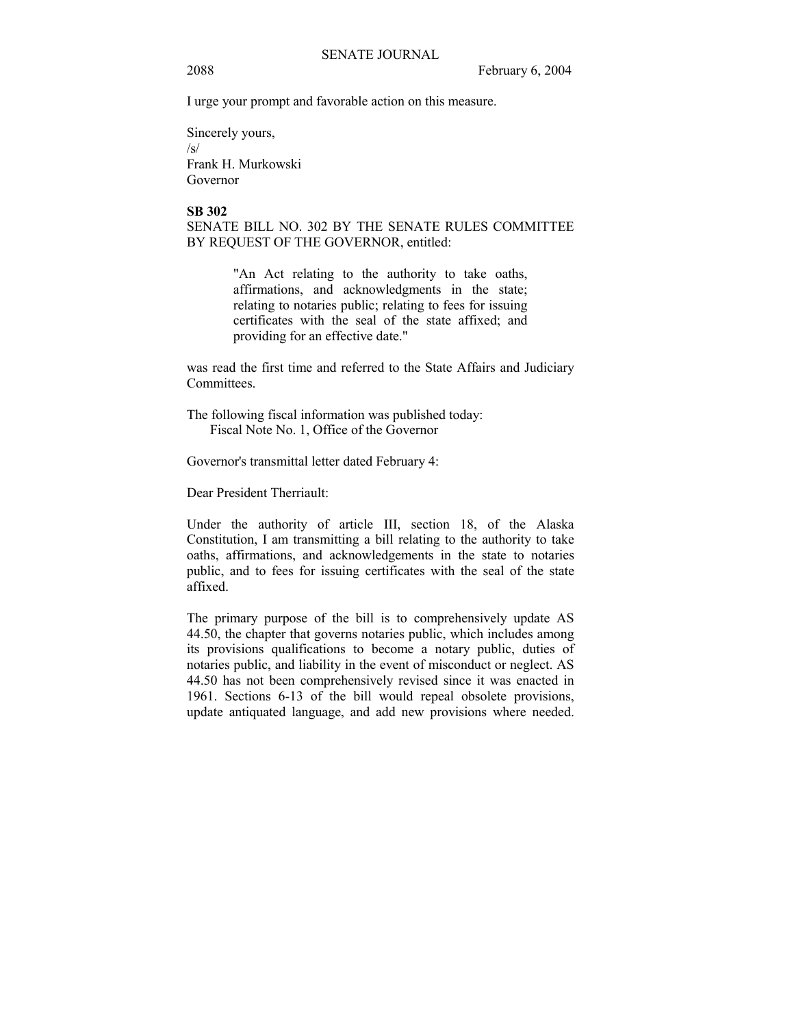I urge your prompt and favorable action on this measure.

Sincerely yours,  $\sqrt{s}$ Frank H. Murkowski Governor

**SB 302** 

SENATE BILL NO. 302 BY THE SENATE RULES COMMITTEE BY REQUEST OF THE GOVERNOR, entitled:

> "An Act relating to the authority to take oaths, affirmations, and acknowledgments in the state; relating to notaries public; relating to fees for issuing certificates with the seal of the state affixed; and providing for an effective date."

was read the first time and referred to the State Affairs and Judiciary Committees.

The following fiscal information was published today: Fiscal Note No. 1, Office of the Governor

Governor's transmittal letter dated February 4:

Dear President Therriault:

Under the authority of article III, section 18, of the Alaska Constitution, I am transmitting a bill relating to the authority to take oaths, affirmations, and acknowledgements in the state to notaries public, and to fees for issuing certificates with the seal of the state affixed.

The primary purpose of the bill is to comprehensively update AS 44.50, the chapter that governs notaries public, which includes among its provisions qualifications to become a notary public, duties of notaries public, and liability in the event of misconduct or neglect. AS 44.50 has not been comprehensively revised since it was enacted in 1961. Sections 6-13 of the bill would repeal obsolete provisions, update antiquated language, and add new provisions where needed.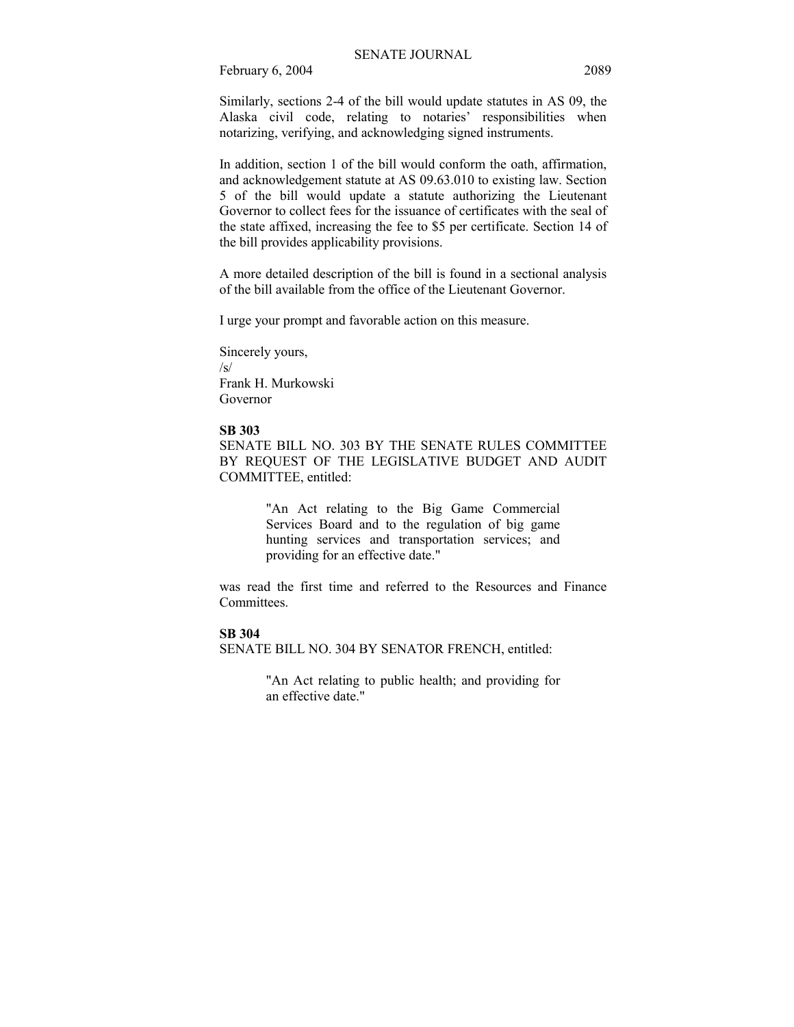Similarly, sections 2-4 of the bill would update statutes in AS 09, the Alaska civil code, relating to notaries' responsibilities when notarizing, verifying, and acknowledging signed instruments.

In addition, section 1 of the bill would conform the oath, affirmation, and acknowledgement statute at AS 09.63.010 to existing law. Section 5 of the bill would update a statute authorizing the Lieutenant Governor to collect fees for the issuance of certificates with the seal of the state affixed, increasing the fee to \$5 per certificate. Section 14 of the bill provides applicability provisions.

A more detailed description of the bill is found in a sectional analysis of the bill available from the office of the Lieutenant Governor.

I urge your prompt and favorable action on this measure.

Sincerely yours, /s/ Frank H. Murkowski Governor

#### **SB 303**

SENATE BILL NO. 303 BY THE SENATE RULES COMMITTEE BY REQUEST OF THE LEGISLATIVE BUDGET AND AUDIT COMMITTEE, entitled:

> "An Act relating to the Big Game Commercial Services Board and to the regulation of big game hunting services and transportation services; and providing for an effective date."

was read the first time and referred to the Resources and Finance Committees.

### **SB 304**

SENATE BILL NO. 304 BY SENATOR FRENCH, entitled:

"An Act relating to public health; and providing for an effective date."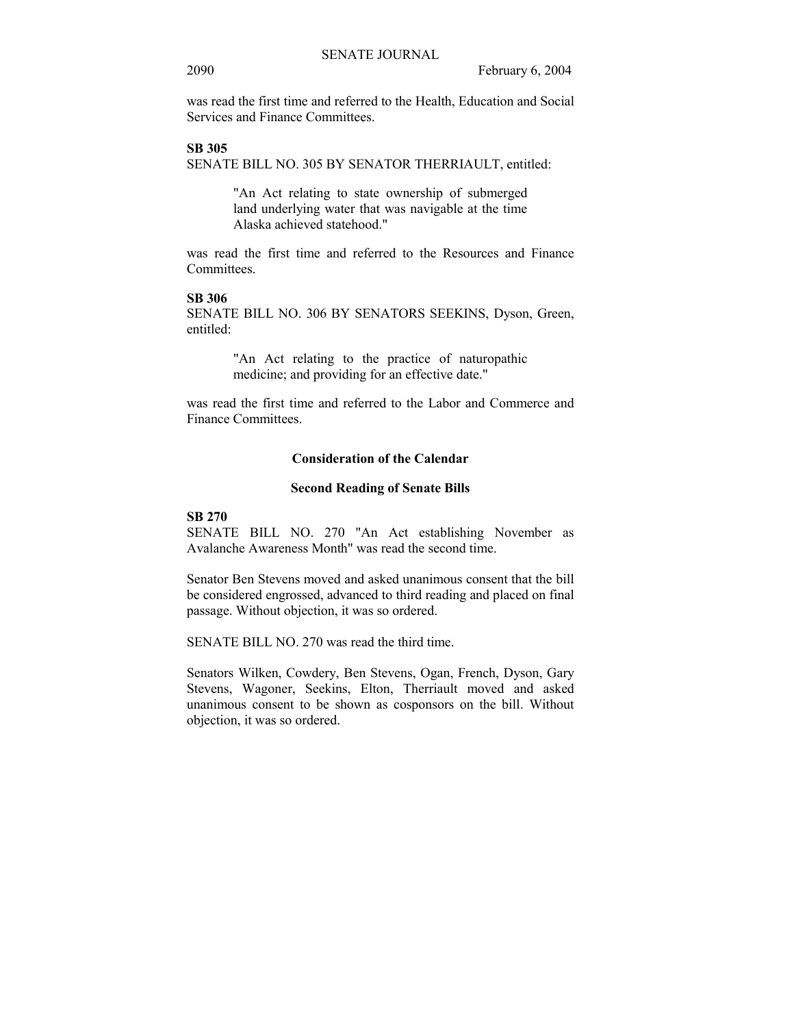was read the first time and referred to the Health, Education and Social Services and Finance Committees.

#### **SB 305**

SENATE BILL NO. 305 BY SENATOR THERRIAULT, entitled:

"An Act relating to state ownership of submerged land underlying water that was navigable at the time Alaska achieved statehood."

was read the first time and referred to the Resources and Finance **Committees** 

### **SB 306**

SENATE BILL NO. 306 BY SENATORS SEEKINS, Dyson, Green, entitled:

> "An Act relating to the practice of naturopathic medicine; and providing for an effective date."

was read the first time and referred to the Labor and Commerce and Finance Committees.

#### **Consideration of the Calendar**

#### **Second Reading of Senate Bills**

#### **SB 270**

SENATE BILL NO. 270 "An Act establishing November as Avalanche Awareness Month" was read the second time.

Senator Ben Stevens moved and asked unanimous consent that the bill be considered engrossed, advanced to third reading and placed on final passage. Without objection, it was so ordered.

SENATE BILL NO. 270 was read the third time.

Senators Wilken, Cowdery, Ben Stevens, Ogan, French, Dyson, Gary Stevens, Wagoner, Seekins, Elton, Therriault moved and asked unanimous consent to be shown as cosponsors on the bill. Without objection, it was so ordered.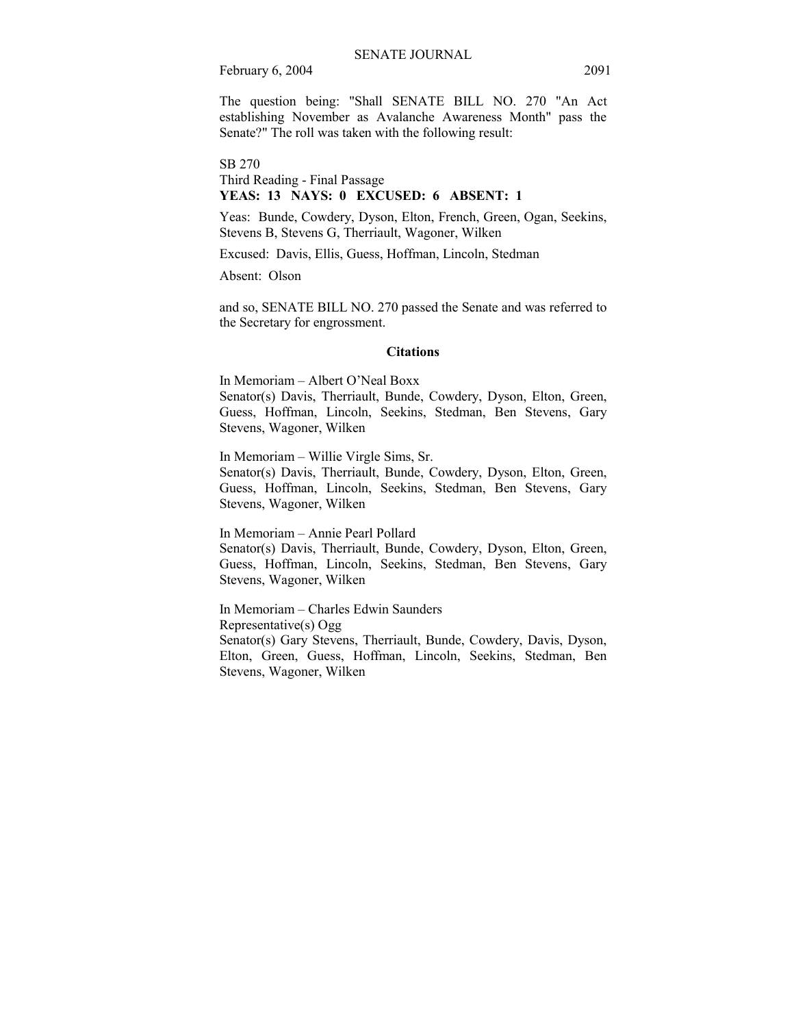The question being: "Shall SENATE BILL NO. 270 "An Act establishing November as Avalanche Awareness Month" pass the Senate?" The roll was taken with the following result:

SB 270 Third Reading - Final Passage **YEAS: 13 NAYS: 0 EXCUSED: 6 ABSENT: 1** 

Yeas: Bunde, Cowdery, Dyson, Elton, French, Green, Ogan, Seekins, Stevens B, Stevens G, Therriault, Wagoner, Wilken

Excused: Davis, Ellis, Guess, Hoffman, Lincoln, Stedman

Absent: Olson

and so, SENATE BILL NO. 270 passed the Senate and was referred to the Secretary for engrossment.

### **Citations**

In Memoriam - Albert O'Neal Boxx Senator(s) Davis, Therriault, Bunde, Cowdery, Dyson, Elton, Green, Guess, Hoffman, Lincoln, Seekins, Stedman, Ben Stevens, Gary Stevens, Wagoner, Wilken

In Memoriam – Willie Virgle Sims, Sr. Senator(s) Davis, Therriault, Bunde, Cowdery, Dyson, Elton, Green, Guess, Hoffman, Lincoln, Seekins, Stedman, Ben Stevens, Gary Stevens, Wagoner, Wilken

In Memoriam – Annie Pearl Pollard Senator(s) Davis, Therriault, Bunde, Cowdery, Dyson, Elton, Green, Guess, Hoffman, Lincoln, Seekins, Stedman, Ben Stevens, Gary Stevens, Wagoner, Wilken

In Memoriam – Charles Edwin Saunders Representative(s) Ogg Senator(s) Gary Stevens, Therriault, Bunde, Cowdery, Davis, Dyson, Elton, Green, Guess, Hoffman, Lincoln, Seekins, Stedman, Ben Stevens, Wagoner, Wilken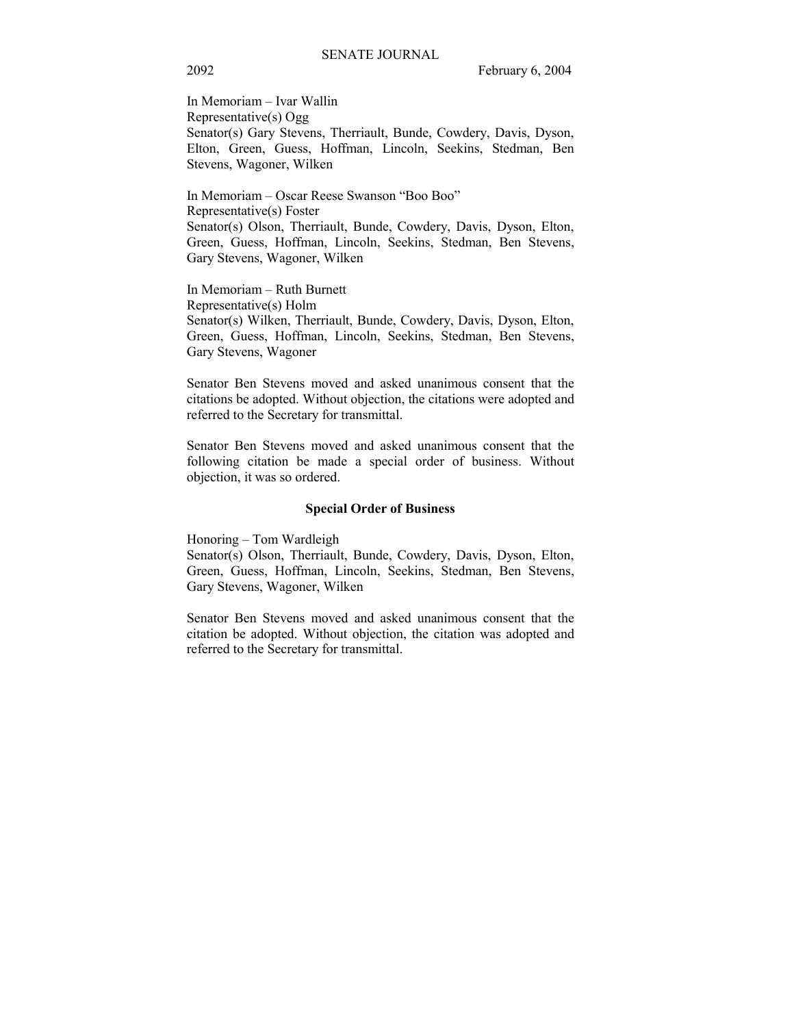In Memoriam - Ivar Wallin Representative(s) Ogg Senator(s) Gary Stevens, Therriault, Bunde, Cowdery, Davis, Dyson, Elton, Green, Guess, Hoffman, Lincoln, Seekins, Stedman, Ben Stevens, Wagoner, Wilken

In Memoriam – Oscar Reese Swanson "Boo Boo" Representative(s) Foster Senator(s) Olson, Therriault, Bunde, Cowdery, Davis, Dyson, Elton, Green, Guess, Hoffman, Lincoln, Seekins, Stedman, Ben Stevens, Gary Stevens, Wagoner, Wilken

In Memoriam - Ruth Burnett Representative(s) Holm Senator(s) Wilken, Therriault, Bunde, Cowdery, Davis, Dyson, Elton, Green, Guess, Hoffman, Lincoln, Seekins, Stedman, Ben Stevens, Gary Stevens, Wagoner

Senator Ben Stevens moved and asked unanimous consent that the citations be adopted. Without objection, the citations were adopted and referred to the Secretary for transmittal.

Senator Ben Stevens moved and asked unanimous consent that the following citation be made a special order of business. Without objection, it was so ordered.

#### **Special Order of Business**

 $H$ onoring  $-$  Tom Wardleigh

Senator(s) Olson, Therriault, Bunde, Cowdery, Davis, Dyson, Elton, Green, Guess, Hoffman, Lincoln, Seekins, Stedman, Ben Stevens, Gary Stevens, Wagoner, Wilken

Senator Ben Stevens moved and asked unanimous consent that the citation be adopted. Without objection, the citation was adopted and referred to the Secretary for transmittal.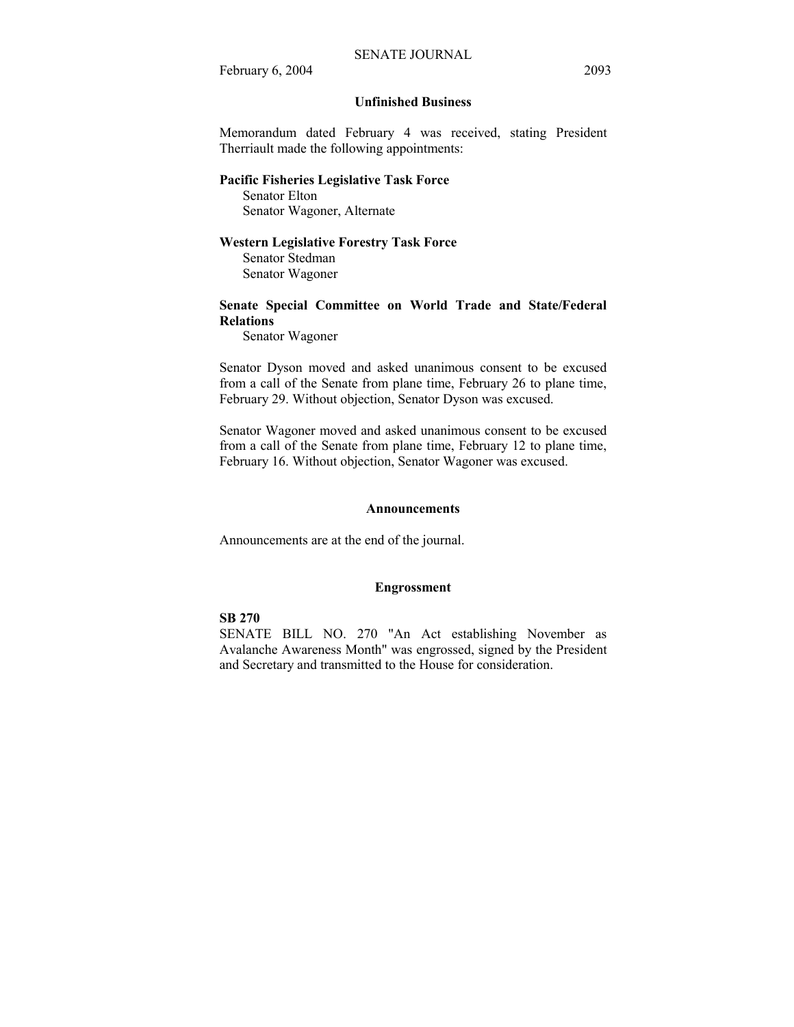### **Unfinished Business**

Memorandum dated February 4 was received, stating President Therriault made the following appointments:

# **Pacific Fisheries Legislative Task Force**

 Senator Elton Senator Wagoner, Alternate

### **Western Legislative Forestry Task Force**

 Senator Stedman Senator Wagoner

# **Senate Special Committee on World Trade and State/Federal Relations**

Senator Wagoner

Senator Dyson moved and asked unanimous consent to be excused from a call of the Senate from plane time, February 26 to plane time, February 29. Without objection, Senator Dyson was excused.

Senator Wagoner moved and asked unanimous consent to be excused from a call of the Senate from plane time, February 12 to plane time, February 16. Without objection, Senator Wagoner was excused.

#### **Announcements**

Announcements are at the end of the journal.

#### **Engrossment**

### **SB 270**

SENATE BILL NO. 270 "An Act establishing November as Avalanche Awareness Month" was engrossed, signed by the President and Secretary and transmitted to the House for consideration.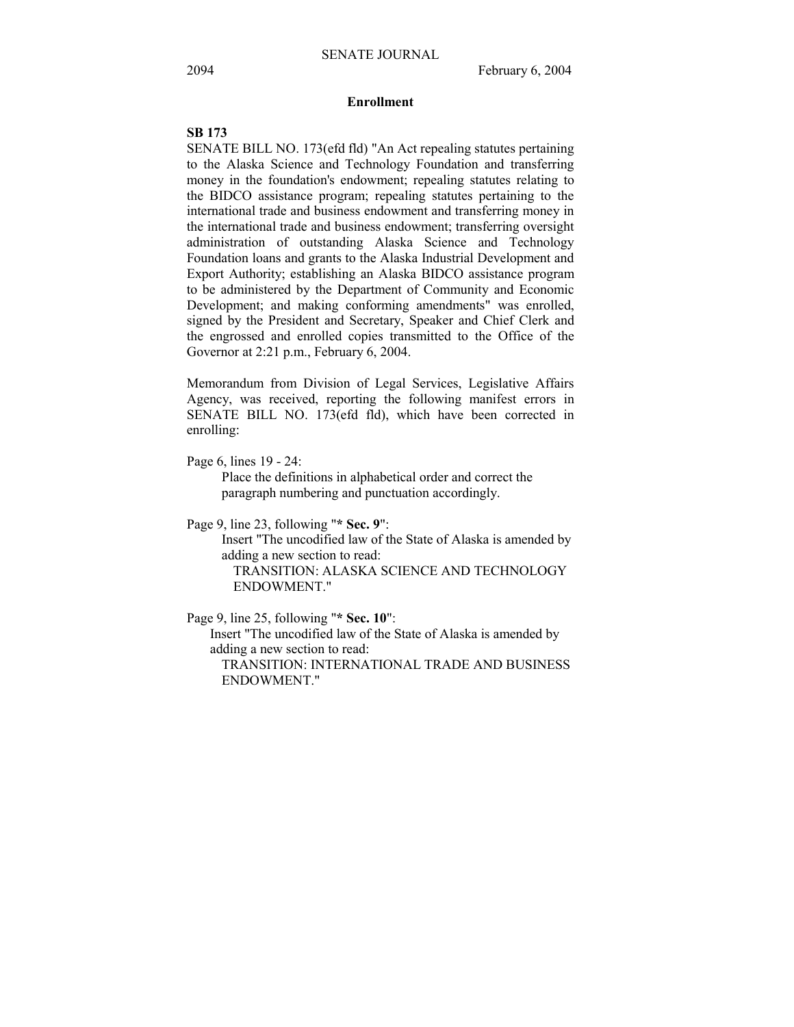### **Enrollment**

#### **SB 173**

SENATE BILL NO. 173(efd fld) "An Act repealing statutes pertaining to the Alaska Science and Technology Foundation and transferring money in the foundation's endowment; repealing statutes relating to the BIDCO assistance program; repealing statutes pertaining to the international trade and business endowment and transferring money in the international trade and business endowment; transferring oversight administration of outstanding Alaska Science and Technology Foundation loans and grants to the Alaska Industrial Development and Export Authority; establishing an Alaska BIDCO assistance program to be administered by the Department of Community and Economic Development; and making conforming amendments" was enrolled, signed by the President and Secretary, Speaker and Chief Clerk and the engrossed and enrolled copies transmitted to the Office of the Governor at 2:21 p.m., February 6, 2004.

Memorandum from Division of Legal Services, Legislative Affairs Agency, was received, reporting the following manifest errors in SENATE BILL NO. 173(efd fld), which have been corrected in enrolling:

Page 6, lines 19 - 24:

Place the definitions in alphabetical order and correct the paragraph numbering and punctuation accordingly.

Page 9, line 23, following "**\* Sec. 9**":

 Insert "The uncodified law of the State of Alaska is amended by adding a new section to read:

 TRANSITION: ALASKA SCIENCE AND TECHNOLOGY ENDOWMENT."

Page 9, line 25, following "**\* Sec. 10**":

 Insert "The uncodified law of the State of Alaska is amended by adding a new section to read:

 TRANSITION: INTERNATIONAL TRADE AND BUSINESS ENDOWMENT."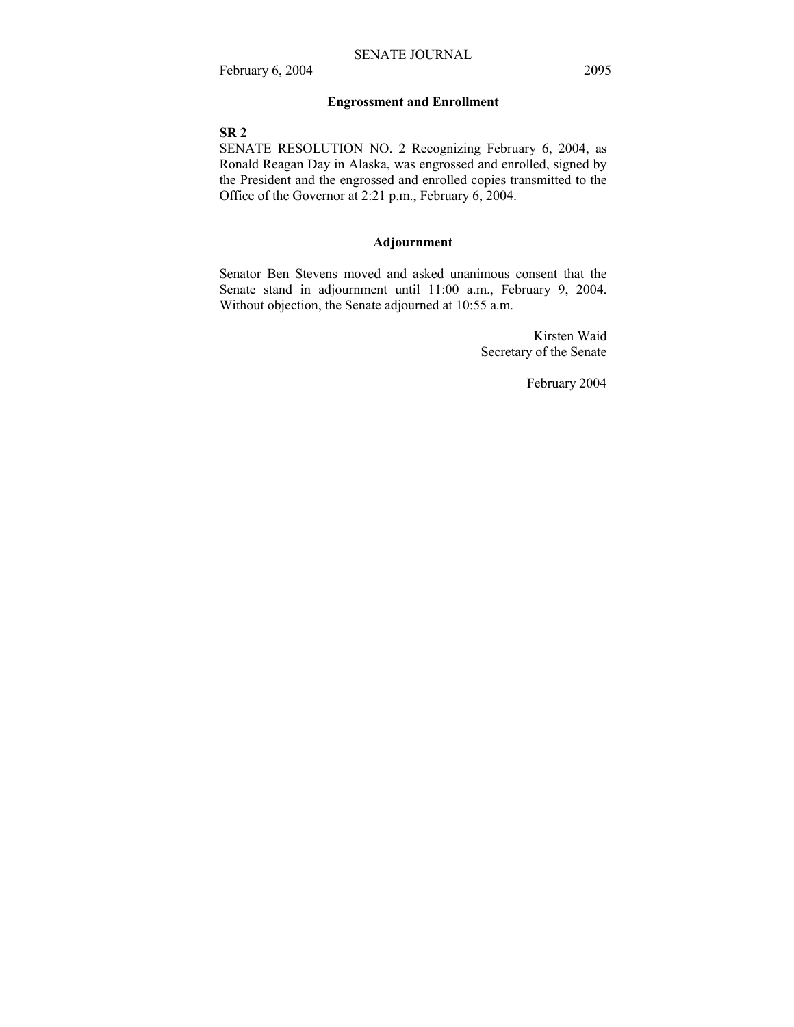### **Engrossment and Enrollment**

## **SR 2**

SENATE RESOLUTION NO. 2 Recognizing February 6, 2004, as Ronald Reagan Day in Alaska, was engrossed and enrolled, signed by the President and the engrossed and enrolled copies transmitted to the Office of the Governor at 2:21 p.m., February 6, 2004.

### **Adjournment**

Senator Ben Stevens moved and asked unanimous consent that the Senate stand in adjournment until 11:00 a.m., February 9, 2004. Without objection, the Senate adjourned at 10:55 a.m.

> Kirsten Waid Secretary of the Senate

> > February 2004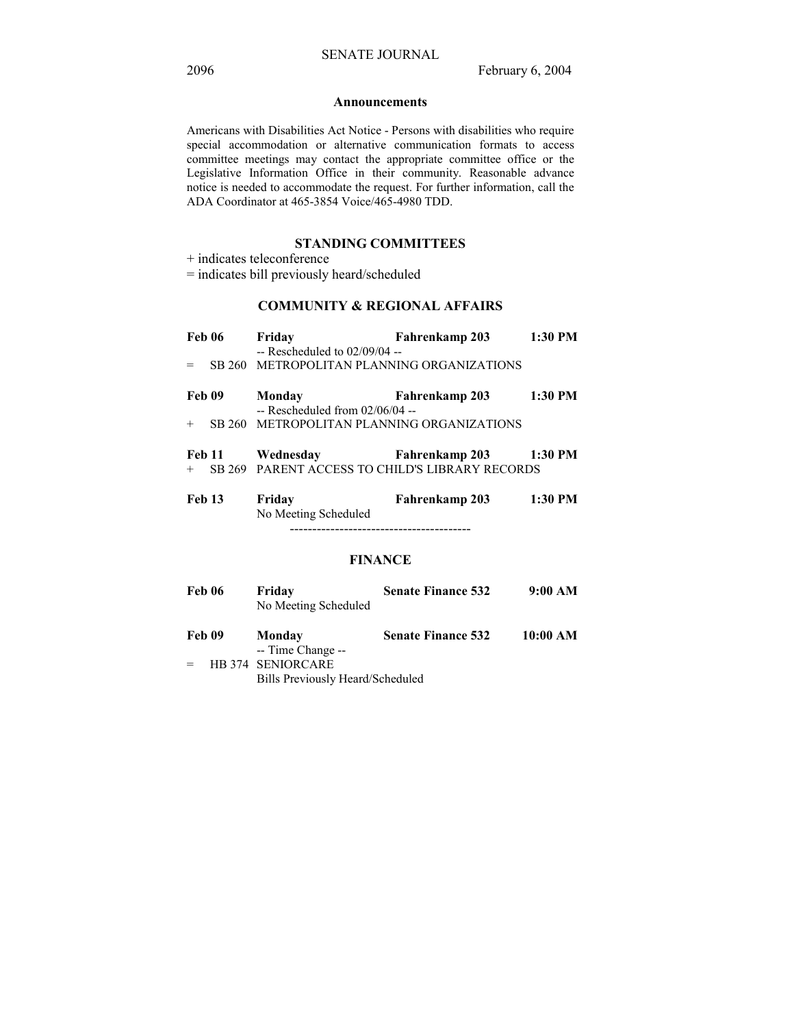#### **Announcements**

Americans with Disabilities Act Notice - Persons with disabilities who require special accommodation or alternative communication formats to access committee meetings may contact the appropriate committee office or the Legislative Information Office in their community. Reasonable advance notice is needed to accommodate the request. For further information, call the ADA Coordinator at 465-3854 Voice/465-4980 TDD.

### **STANDING COMMITTEES**

+ indicates teleconference

= indicates bill previously heard/scheduled

# **COMMUNITY & REGIONAL AFFAIRS**

| <b>Feb 06</b>        |        | Friday                                                       | Fahrenkamp 203 | 1:30 PM |
|----------------------|--------|--------------------------------------------------------------|----------------|---------|
|                      |        | $-$ Rescheduled to 02/09/04 $-$                              |                |         |
|                      |        | SB 260 METROPOLITAN PLANNING ORGANIZATIONS                   |                |         |
| Feb 09               |        | Monday                                                       | Fahrenkamp 203 | 1:30 PM |
|                      |        | $-$ Rescheduled from 02/06/04 $-$                            |                |         |
| $^{+}$               | SB 260 | METROPOLITAN PLANNING ORGANIZATIONS                          |                |         |
| <b>Feb 11</b><br>$+$ |        | Wednesday<br>SB 269 PARENT ACCESS TO CHILD'S LIBRARY RECORDS | Fahrenkamp 203 | 1:30 PM |
| <b>Feb 13</b>        |        | Friday<br>No Meeting Scheduled                               | Fahrenkamp 203 | 1:30 PM |

----------------------------------------

### **FINANCE**

| <b>Feb 06</b>      | Friday<br>No Meeting Scheduled | <b>Senate Finance 532</b> | 9:00 AM  |
|--------------------|--------------------------------|---------------------------|----------|
| E <sub>ah</sub> 00 | Mondov                         | Sanata Financa 532        | 10.00 AM |

| TU VZ | <b>NIQUUAV</b>                          | эспате г піансе 332 | TU:UU AIVI |
|-------|-----------------------------------------|---------------------|------------|
|       | -- Time Change --                       |                     |            |
| $=$   | HB 374 SENIORCARE                       |                     |            |
|       | <b>Bills Previously Heard/Scheduled</b> |                     |            |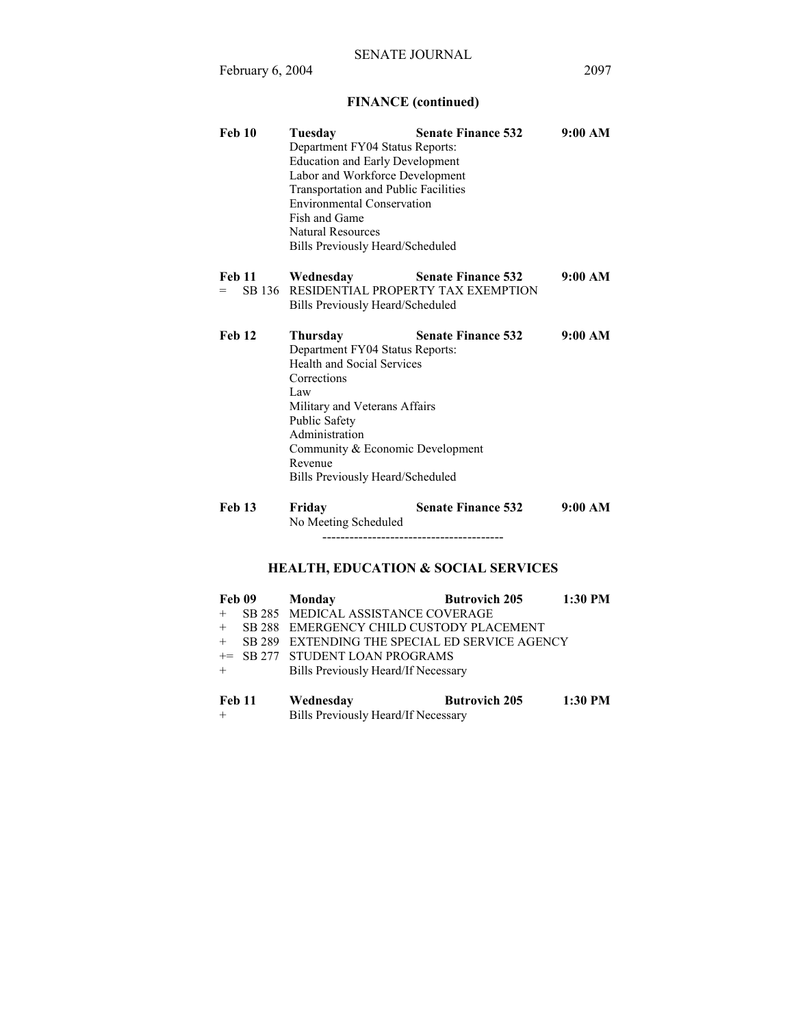# **FINANCE (continued)**

| <b>Feb 10</b>                  | Tuesday<br>Department FY04 Status Reports:<br><b>Education and Early Development</b><br>Labor and Workforce Development<br>Transportation and Public Facilities<br><b>Environmental Conservation</b><br>Fish and Game<br><b>Natural Resources</b><br>Bills Previously Heard/Scheduled | <b>Senate Finance 532</b>                                       | 9:00 AM |
|--------------------------------|---------------------------------------------------------------------------------------------------------------------------------------------------------------------------------------------------------------------------------------------------------------------------------------|-----------------------------------------------------------------|---------|
| <b>Feb 11</b><br>SB 136<br>$=$ | Wednesday<br>Bills Previously Heard/Scheduled                                                                                                                                                                                                                                         | <b>Senate Finance 532</b><br>RESIDENTIAL PROPERTY TAX EXEMPTION | 9:00 AM |
| Feb 12                         | <b>Thursday</b><br>Department FY04 Status Reports:<br><b>Health and Social Services</b><br>Corrections<br>Law<br>Military and Veterans Affairs<br>Public Safety<br>Administration<br>Community & Economic Development<br>Revenue<br>Bills Previously Heard/Scheduled                  | <b>Senate Finance 532</b>                                       | 9:00 AM |

Feb 13 Friday Senate Finance 532 9:00 AM No Meeting Scheduled

----------------------------------------

# **HEALTH, EDUCATION & SOCIAL SERVICES**

|     | Feb 09        | Monday                                           | <b>Butrovich 205</b> | 1:30 PM |
|-----|---------------|--------------------------------------------------|----------------------|---------|
| $+$ |               | SB 285 MEDICAL ASSISTANCE COVERAGE               |                      |         |
|     |               | + SB 288 EMERGENCY CHILD CUSTODY PLACEMENT       |                      |         |
|     |               | + SB 289 EXTENDING THE SPECIAL ED SERVICE AGENCY |                      |         |
|     |               | += SB 277 STUDENT LOAN PROGRAMS                  |                      |         |
| $+$ |               | Bills Previously Heard/If Necessary              |                      |         |
|     |               |                                                  |                      |         |
|     | <b>Feb 11</b> | Wednesday                                        | <b>Butrovich 205</b> | 1:30 PM |

+ Bills Previously Heard/If Necessary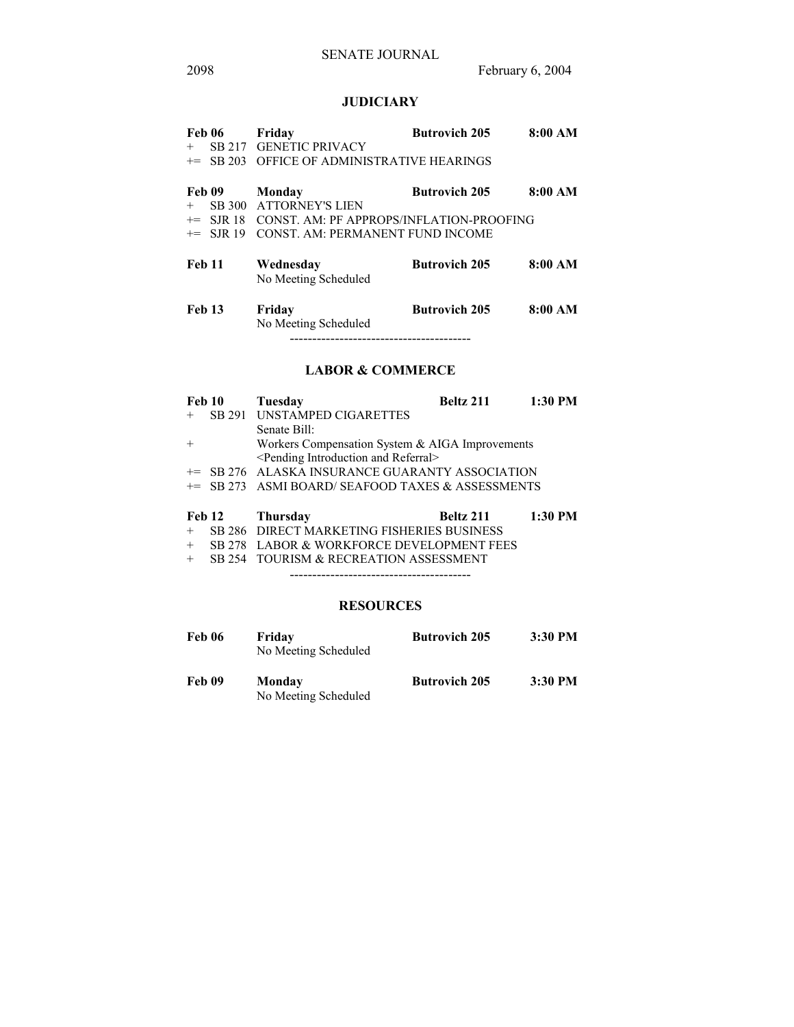2098 February 6, 2004

# **JUDICIARY**

| <b>Feb 06</b> |             | Friday                                          | <b>Butrovich 205</b> | 8:00 AM |
|---------------|-------------|-------------------------------------------------|----------------------|---------|
| $+$           | SB 217      | <b>GENETIC PRIVACY</b>                          |                      |         |
| $+=$          | SB 203      | OFFICE OF ADMINISTRATIVE HEARINGS               |                      |         |
| Feb 09<br>$+$ |             | Monday<br><b>SB 300 ATTORNEY'S LIEN</b>         | <b>Butrovich 205</b> | 8:00 AM |
| $+=$          |             | SJR 18 CONST. AM: PF APPROPS/INFLATION-PROOFING |                      |         |
|               | $+=$ SJR 19 | CONST. AM: PERMANENT FUND INCOME                |                      |         |
| <b>Feb 11</b> |             | Wednesday<br>No Meeting Scheduled               | <b>Butrovich 205</b> | 8:00 AM |
| <b>Feb 13</b> |             | Friday<br>No Meeting Scheduled                  | <b>Butrovich 205</b> | 8:00 AM |

# **LABOR & COMMERCE**

| Feb 10 |             | Tuesday                                                    | Beltz 211 | 1:30 PM |
|--------|-------------|------------------------------------------------------------|-----------|---------|
| $+$    |             | SB 291 UNSTAMPED CIGARETTES                                |           |         |
|        |             | Senate Bill:                                               |           |         |
| $+$    |             | Workers Compensation System & AIGA Improvements            |           |         |
|        |             | <pending and="" introduction="" referral=""></pending>     |           |         |
|        |             | <sup>+=</sup> SB 276 ALASKA INSURANCE GUARANTY ASSOCIATION |           |         |
|        | $+=$ SB 273 | ASMI BOARD/ SEAFOOD TAXES & ASSESSMENTS                    |           |         |
| Feb 12 |             | <b>Thursday</b>                                            | Beltz 211 | 1:30 PM |
| $+$    |             | SB 286 DIRECT MARKETING FISHERIES BUSINESS                 |           |         |
| $+$    | SB 278      | LABOR & WORKFORCE DEVELOPMENT FEES                         |           |         |
| $+$    |             | SR 254 TOURISM & RECREATION ASSESSMENT                     |           |         |

+ SB 254 TOURISM & RECREATION ASSESSMENT ----------------------------------------

### **RESOURCES**

| <b>Feb 06</b> | Friday<br>No Meeting Scheduled | <b>Butrovich 205</b> | 3:30 PM |
|---------------|--------------------------------|----------------------|---------|
| Feb 09        | Monday<br>No Meeting Scheduled | <b>Butrovich 205</b> | 3:30 PM |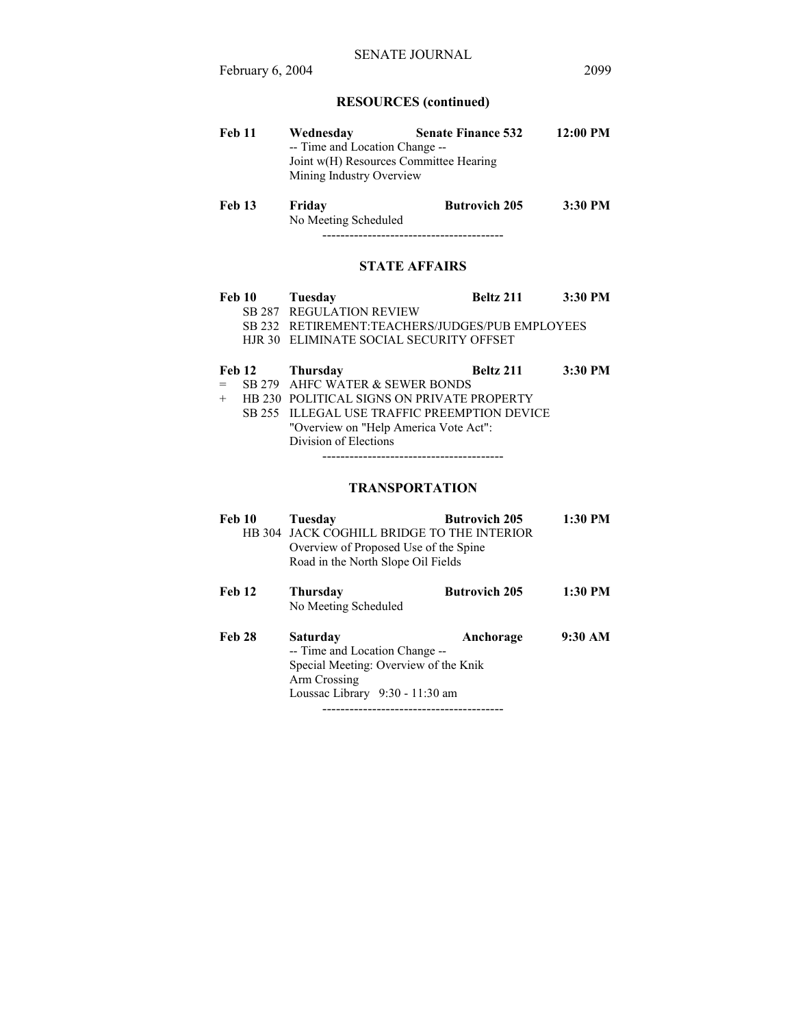# **RESOURCES (continued)**

| <b>Feb 11</b> | Wednesday                                                                                            | <b>Senate Finance 532</b> | 12:00 PM |
|---------------|------------------------------------------------------------------------------------------------------|---------------------------|----------|
|               | -- Time and Location Change --<br>Joint w(H) Resources Committee Hearing<br>Mining Industry Overview |                           |          |
| <b>Feb 13</b> | Fridav                                                                                               | <b>Butrovich 205</b>      | 3:30 PM  |

 No Meeting Scheduled ----------------------------------------

# **STATE AFFAIRS**

| Feb 10        | Tuesday                                          | Beltz 211 | $3:30$ PM |
|---------------|--------------------------------------------------|-----------|-----------|
|               | <b>SB 287 REGULATION REVIEW</b>                  |           |           |
|               | SB 232 RETIREMENT: TEACHERS/JUDGES/PUB EMPLOYEES |           |           |
|               | HJR 30 ELIMINATE SOCIAL SECURITY OFFSET          |           |           |
|               |                                                  |           |           |
| <b>Feb 12</b> | Thursday                                         | Beltz 211 | $3:30$ PM |

- = SB 279 AHFC WATER & SEWER BONDS
- + HB 230 POLITICAL SIGNS ON PRIVATE PROPERTY SB 255 ILLEGAL USE TRAFFIC PREEMPTION DEVICE
	- "Overview on "Help America Vote Act": Division of Elections

----------------------------------------

# **TRANSPORTATION**

| Feb 10        | Tuesday<br>HB 304 JACK COGHILL BRIDGE TO THE INTERIOR<br>Overview of Proposed Use of the Spine<br>Road in the North Slope Oil Fields     | <b>Butrovich 205</b> | 1:30 PM   |
|---------------|------------------------------------------------------------------------------------------------------------------------------------------|----------------------|-----------|
| <b>Feb 12</b> | Thursday<br>No Meeting Scheduled                                                                                                         | <b>Butrovich 205</b> | $1:30$ PM |
| <b>Feb 28</b> | Saturday<br>-- Time and Location Change --<br>Special Meeting: Overview of the Knik<br>Arm Crossing<br>Loussac Library $9:30 - 11:30$ am | Anchorage            | 9:30 AM   |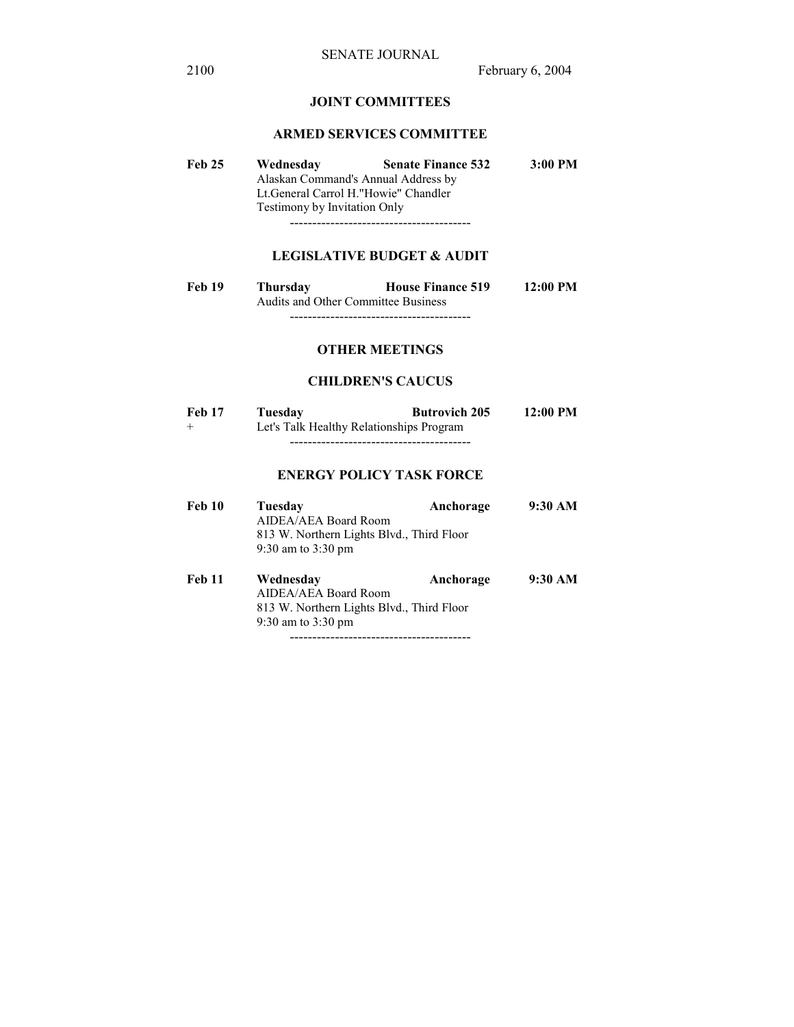# **JOINT COMMITTEES**

### **ARMED SERVICES COMMITTEE**

**Feb 25 Wednesday Senate Finance 532 3:00 PM**  Alaskan Command's Annual Address by Lt.General Carrol H."Howie" Chandler Testimony by Invitation Only ----------------------------------------

### **LEGISLATIVE BUDGET & AUDIT**

| Feb 19 | Thursday                            | <b>House Finance 519</b> | $12:00$ PM |
|--------|-------------------------------------|--------------------------|------------|
|        | Audits and Other Committee Business |                          |            |

----------------------------------------

# **OTHER MEETINGS**

### **CHILDREN'S CAUCUS**

| <b>Feb 17</b> | Tuesdav                                  | <b>Butrovich 205</b> | $12:00 \text{ PM}$ |
|---------------|------------------------------------------|----------------------|--------------------|
| $+$           | Let's Talk Healthy Relationships Program |                      |                    |
|               |                                          |                      |                    |

# **ENERGY POLICY TASK FORCE**

| Feb 10        | Tuesday<br>AIDEA/AEA Board Room<br>813 W. Northern Lights Blvd., Third Floor<br>9:30 am to $3:30 \text{ pm}$                | Anchorage | 9:30 AM |
|---------------|-----------------------------------------------------------------------------------------------------------------------------|-----------|---------|
| <b>Feb 11</b> | Wednesday<br>Anchorage<br>AIDEA/AEA Board Room<br>813 W. Northern Lights Blvd., Third Floor<br>9:30 am to $3:30 \text{ pm}$ |           | 9:30 AM |
|               |                                                                                                                             |           |         |